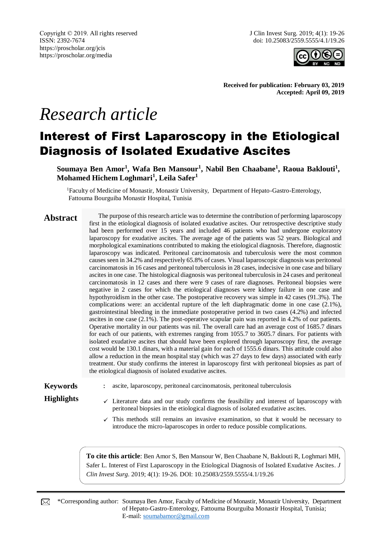Copyright © 2019. All rights reserved ISSN: 2392-7674 https://proscholar.org/jcis https://proscholar.org/media

J Clin Invest Surg. 2019; 4(1): 19-26 doi: 10.25083/2559.5555/4.1/19.26



**Received for publication: February 03, 2019 Accepted: April 09, 2019**

# *Research article*

# Interest of First Laparoscopy in the Etiological Diagnosis of Isolated Exudative Ascites

**Soumaya Ben Amor<sup>1</sup> , Wafa Ben Mansour<sup>1</sup> , Nabil Ben Chaabane<sup>1</sup> , Raoua Baklouti<sup>1</sup> , Mohamed Hichem Loghmari<sup>1</sup> , Leila Safer<sup>1</sup>**

<sup>1</sup>Faculty of Medicine of Monastir, Monastir University, Department of Hepato-Gastro-Enterology, Fattouma Bourguiba Monastir Hospital, Tunisia

**Abstract** The purpose of this research article was to determine the contribution of performing laparoscopy first in the etiological diagnosis of isolated exudative ascites. Our retrospective descriptive study had been performed over 15 years and included 46 patients who had undergone exploratory laparoscopy for exudative ascites. The average age of the patients was 52 years. Biological and morphological examinations contributed to making the etiological diagnosis. Therefore, diagnostic laparoscopy was indicated. Peritoneal carcinomatosis and tuberculosis were the most common causes seen in 34.2% and respectively 65.8% of cases. Visual laparoscopic diagnosis was peritoneal carcinomatosis in 16 cases and peritoneal tuberculosis in 28 cases, indecisive in one case and biliary ascites in one case. The histological diagnosis was peritoneal tuberculosis in 24 cases and peritoneal carcinomatosis in 12 cases and there were 9 cases of rare diagnoses. Peritoneal biopsies were negative in 2 cases for which the etiological diagnoses were kidney failure in one case and hypothyroidism in the other case. The postoperative recovery was simple in 42 cases (91.3%). The complications were: an accidental rupture of the left diaphragmatic dome in one case (2.1%), gastrointestinal bleeding in the immediate postoperative period in two cases (4.2%) and infected ascites in one case (2.1%). The post-operative scapular pain was reported in 4.2% of our patients. Operative mortality in our patients was nil. The overall care had an average cost of 1685.7 dinars for each of our patients, with extremes ranging from 1055.7 to 3605.7 dinars. For patients with isolated exudative ascites that should have been explored through laparoscopy first, the average cost would be 130.1 dinars, with a material gain for each of 1555.6 dinars. This attitude could also allow a reduction in the mean hospital stay (which was 27 days to few days) associated with early treatment. Our study confirms the interest in laparoscopy first with peritoneal biopsies as part of the etiological diagnosis of isolated exudative ascites.

- **Keywords** : ascite, laparoscopy, peritoneal carcinomatosis, peritoneal tuberculosis
- **Highlights**  $\checkmark$  Literature data and our study confirms the feasibility and interest of laparoscopy with peritoneal biopsies in the etiological diagnosis of isolated exudative ascites.
	- $\checkmark$  This methods still remains an invasive examination, so that it would be necessary to introduce the micro-laparoscopes in order to reduce possible complications.

**To cite this article**: Ben Amor S, Ben Mansour W, Ben Chaabane N, Baklouti R, Loghmari MH, Safer L. Interest of First Laparoscopy in the Etiological Diagnosis of Isolated Exudative Ascites. *J Clin Invest Surg*. 2019; 4(1): 19-26. DOI: 10.25083/2559.5555/4.1/19.26

\*Corresponding author: Soumaya Ben Amor, Faculty of Medicine of Monastir, Monastir University, Department ⊠ of Hepato-Gastro-Enterology, Fattouma Bourguiba Monastir Hospital, Tunisia; E-mail: [soumabamor@gmail.com](mailto:soumabamor@gmail.com)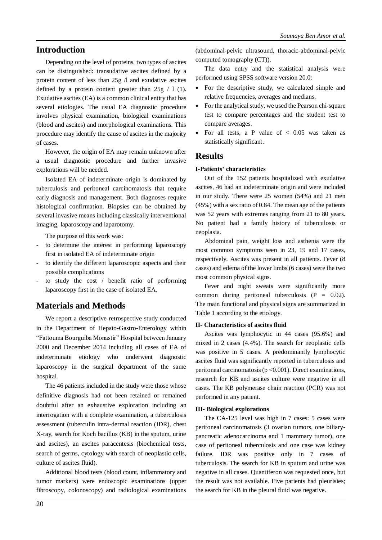# **Introduction**

Depending on the level of proteins, two types of ascites can be distinguished: transudative ascites defined by a protein content of less than 25g /l and exudative ascites defined by a protein content greater than  $25g / 1$  (1). Exudative ascites (EA) is a common clinical entity that has several etiologies. The usual EA diagnostic procedure involves physical examination, biological examinations (blood and ascites) and morphological examinations. This procedure may identify the cause of ascites in the majority of cases.

However, the origin of EA may remain unknown after a usual diagnostic procedure and further invasive explorations will be needed.

Isolated EA of indeterminate origin is dominated by tuberculosis and peritoneal carcinomatosis that require early diagnosis and management. Both diagnoses require histological confirmation. Biopsies can be obtained by several invasive means including classically interventional imaging, laparoscopy and laparotomy.

The purpose of this work was:

- to determine the interest in performing laparoscopy first in isolated EA of indeterminate origin
- to identify the different laparoscopic aspects and their possible complications
- to study the cost  $/$  benefit ratio of performing laparoscopy first in the case of isolated EA.

# **Materials and Methods**

We report a descriptive retrospective study conducted in the Department of Hepato-Gastro-Enterology within "Fattouma Bourguiba Monastir" Hospital between January 2000 and December 2014 including all cases of EA of indeterminate etiology who underwent diagnostic laparoscopy in the surgical department of the same hospital.

The 46 patients included in the study were those whose definitive diagnosis had not been retained or remained doubtful after an exhaustive exploration including an interrogation with a complete examination, a tuberculosis assessment (tuberculin intra-dermal reaction (IDR), chest X-ray, search for Koch bacillus (KB) in the sputum, urine and ascites), an ascites paracentesis (biochemical tests, search of germs, cytology with search of neoplastic cells, culture of ascites fluid).

Additional blood tests (blood count, inflammatory and tumor markers) were endoscopic examinations (upper fibroscopy, colonoscopy) and radiological examinations

(abdominal-pelvic ultrasound, thoracic-abdominal-pelvic computed tomography (CT)).

The data entry and the statistical analysis were performed using SPSS software version 20.0:

- For the descriptive study, we calculated simple and relative frequencies, averages and medians.
- For the analytical study, we used the Pearson chi-square test to compare percentages and the student test to compare averages.
- For all tests, a P value of  $< 0.05$  was taken as statistically significant.

#### **Results**

#### **I-Patients' characteristics**

Out of the 152 patients hospitalized with exudative ascites, 46 had an indeterminate origin and were included in our study. There were 25 women (54%) and 21 men (45%) with a sex ratio of 0.84. The mean age of the patients was 52 years with extremes ranging from 21 to 80 years. No patient had a family history of tuberculosis or neoplasia.

Abdominal pain, weight loss and asthenia were the most common symptoms seen in 23, 19 and 17 cases, respectively. Ascites was present in all patients. Fever (8 cases) and edema of the lower limbs (6 cases) were the two most common physical signs.

Fever and night sweats were significantly more common during peritoneal tuberculosis  $(P = 0.02)$ . The main functional and physical signs are summarized in Table 1 according to the etiology.

#### **II- Characteristics of ascites fluid**

Ascites was lymphocytic in 44 cases (95.6%) and mixed in 2 cases (4.4%). The search for neoplastic cells was positive in 5 cases. A predominantly lymphocytic ascites fluid was significantly reported in tuberculosis and peritoneal carcinomatosis ( $p \le 0.001$ ). Direct examinations, research for KB and ascites culture were negative in all cases. The KB polymerase chain reaction (PCR) was not performed in any patient.

#### **III- Biological explorations**

The CA-125 level was high in 7 cases: 5 cases were peritoneal carcinomatosis (3 ovarian tumors, one biliarypancreatic adenocarcinoma and 1 mammary tumor), one case of peritoneal tuberculosis and one case was kidney failure. IDR was positive only in 7 cases of tuberculosis. The search for KB in sputum and urine was negative in all cases. Quantiferon was requested once, but the result was not available. Five patients had pleurisies; the search for KB in the pleural fluid was negative.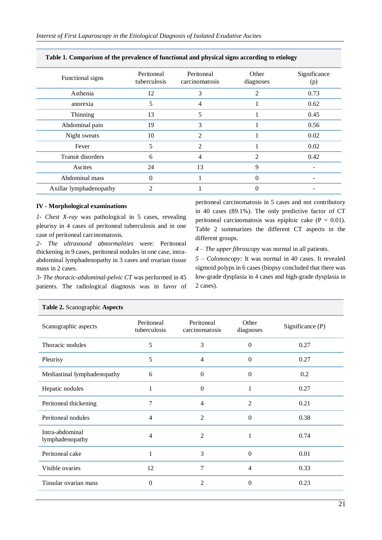| Functional signs        | Peritoneal<br>tuberculosis | Peritoneal<br>carcinomatosis | Other<br>diagnoses | Significance<br>(p) |
|-------------------------|----------------------------|------------------------------|--------------------|---------------------|
| Asthenia                | 12                         | 3                            | 2                  | 0.73                |
| anorexia                | 5                          | 4                            |                    | 0.62                |
| Thinning                | 13                         | 5                            |                    | 0.45                |
| Abdominal pain          | 19                         | 3                            |                    | 0.56                |
| Night sweats            | 10                         | 2                            |                    | 0.02                |
| Fever                   | 5                          | 2                            |                    | 0.02                |
| Transit disorders       | 6                          | 4                            | 2                  | 0.42                |
| Ascites                 | 24                         | 13                           | 9                  |                     |
| Abdominal mass          | 0                          |                              | 0                  |                     |
| Axillar lymphadenopathy | ◠                          |                              |                    |                     |

#### **Table 1. Comparison of the prevalence of functional and physical signs according to etiology**

#### **IV - Morphological examinations**

*1- Chest X-ray* was pathological in 5 cases, revealing pleurisy in 4 cases of peritoneal tuberculosis and in one case of peritoneal carcinomatosis.

*2- The ultrasound abnormalities* were: Peritoneal thickening in 9 cases, peritoneal nodules in one case, intraabdominal lymphadenopathy in 3 cases and ovarian tissue mass in 2 cases.

*3- The thoracic-abdominal-pelvic CT* was performed in 45 patients. The radiological diagnosis was in favor of peritoneal carcinomatosis in 5 cases and not contributory in 40 cases (89.1%). The only predictive factor of CT peritoneal carcinomatosis was epiploic cake  $(P = 0.01)$ . Table 2 summarizes the different CT aspects in the different groups.

*4 – The upper fibroscopy* was normal in all patients.

*5 – Colonoscopy:* It was normal in 40 cases. It revealed sigmoid polyps in 6 cases (biopsy concluded that there was low-grade dysplasia in 4 cases and high-grade dysplasia in 2 cases).

| $\frac{1}{2}$ and $\frac{1}{2}$ beang graphic <i>i</i> sopector |                            |                              |                    |                  |
|-----------------------------------------------------------------|----------------------------|------------------------------|--------------------|------------------|
| Scanographic aspects                                            | Peritoneal<br>tuberculosis | Peritoneal<br>carcinomatosis | Other<br>diagnoses | Significance (P) |
| Thoracic nodules                                                | 5                          | 3                            | $\Omega$           | 0.27             |
| Pleurisy                                                        | 5                          | $\overline{4}$               | $\Omega$           | 0.27             |
| Mediastinal lymphadenopathy                                     | 6                          | $\Omega$                     | $\Omega$           | 0.2              |
| Hepatic nodules                                                 |                            | $\Omega$                     |                    | 0.27             |
| Peritoneal thickening                                           | 7                          | $\overline{4}$               | 2                  | 0.21             |
| Peritoneal nodules                                              | $\overline{4}$             | 2                            | $\theta$           | 0.38             |
| Intra-abdominal<br>lymphadenopathy                              | 4                          | 2                            |                    | 0.74             |
| Peritoneal cake                                                 | 1                          | 3                            | $\Omega$           | 0.01             |
| Visible ovaries                                                 | 12                         | 7                            | $\overline{4}$     | 0.33             |
| Tissular ovarian mass                                           | $\Omega$                   | 2                            | $\theta$           | 0.23             |

# **Table 2.** Scanographic **Aspects**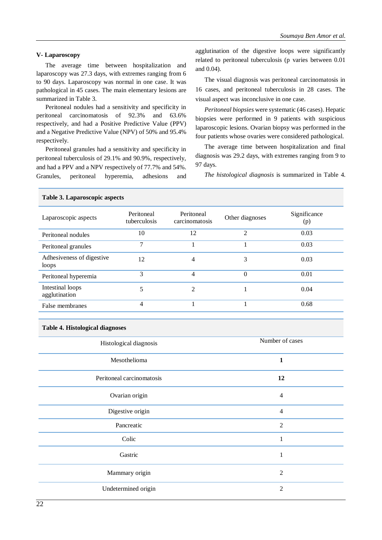#### **V- Laparoscopy**

The average time between hospitalization and laparoscopy was 27.3 days, with extremes ranging from 6 to 90 days. Laparoscopy was normal in one case. It was pathological in 45 cases. The main elementary lesions are summarized in Table 3.

Peritoneal nodules had a sensitivity and specificity in peritoneal carcinomatosis of 92.3% and 63.6% respectively, and had a Positive Predictive Value (PPV) and a Negative Predictive Value (NPV) of 50% and 95.4% respectively.

Peritoneal granules had a sensitivity and specificity in peritoneal tuberculosis of 29.1% and 90.9%, respectively, and had a PPV and a NPV respectively of 77.7% and 54%. Granules, peritoneal hyperemia, adhesions and agglutination of the digestive loops were significantly related to peritoneal tuberculosis (p varies between 0.01 and 0.04).

The visual diagnosis was peritoneal carcinomatosis in 16 cases, and peritoneal tuberculosis in 28 cases. The visual aspect was inconclusive in one case.

*Peritoneal biopsies* were systematic (46 cases). Hepatic biopsies were performed in 9 patients with suspicious laparoscopic lesions. Ovarian biopsy was performed in the four patients whose ovaries were considered pathological.

The average time between hospitalization and final diagnosis was 29.2 days, with extremes ranging from 9 to 97 days.

*The histological diagnosis* is summarized in Table 4.

#### Laparoscopic aspects Peritoneal tuberculosis Peritoneal Peritoneal<br>
Compare Other diagnoses<br>
(p)<br>
Compare Significance<br>
Compare Significance<br>
Compare Significance<br>
Compare Significance<br>
Compare Significance<br>
Compare Significance<br>
Compare Significance<br>
Compare Significance<br>
Comp (p) Peritoneal nodules 10 12 2 0.03 Peritoneal granules and the contract of the contract of the contract of the contract of the contract of the contract of the contract of the contract of the contract of the contract of the contract of the contract of the co Adhesiveness of digestive loops 12 4 3 0.03 Peritoneal hyperemia 3 4 0 0.01 Intestinal loops agglutination 5 2 1 0.04 False membranes  $\frac{4}{1}$  1 0.68

#### **Table 3. Laparoscopic aspects**

| Table 4. Histological diagnoses |  |
|---------------------------------|--|
|---------------------------------|--|

| Histological diagnosis    | Number of cases |
|---------------------------|-----------------|
| Mesothelioma              | 1               |
| Peritoneal carcinomatosis | 12              |
| Ovarian origin            | $\overline{4}$  |
| Digestive origin          | $\overline{4}$  |
| Pancreatic                | $\overline{2}$  |
| Colic                     | $\mathbf{1}$    |
| Gastric                   | 1               |
| Mammary origin            | $\overline{2}$  |
| Undetermined origin       | $\overline{2}$  |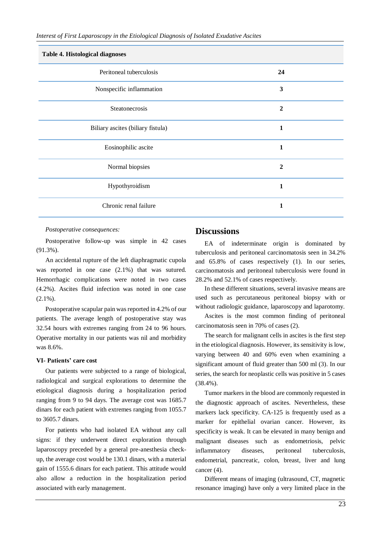| Table 4. Histological diagnoses   |                |  |  |  |
|-----------------------------------|----------------|--|--|--|
| Peritoneal tuberculosis           | 24             |  |  |  |
| Nonspecific inflammation          | 3              |  |  |  |
| Steatonecrosis                    | $\overline{2}$ |  |  |  |
| Biliary ascites (biliary fistula) | 1              |  |  |  |
| Eosinophilic ascite               | 1              |  |  |  |
| Normal biopsies                   | $\overline{2}$ |  |  |  |
| Hypothyroidism                    | $\mathbf{1}$   |  |  |  |
| Chronic renal failure             | 1              |  |  |  |

#### *Postoperative consequences:*

Postoperative follow-up was simple in 42 cases (91.3%).

An accidental rupture of the left diaphragmatic cupola was reported in one case (2.1%) that was sutured. Hemorrhagic complications were noted in two cases (4.2%). Ascites fluid infection was noted in one case  $(2.1\%)$ .

Postoperative scapular pain was reported in 4.2% of our patients. The average length of postoperative stay was 32.54 hours with extremes ranging from 24 to 96 hours. Operative mortality in our patients was nil and morbidity was 8.6%.

#### **VI- Patients' care cost**

Our patients were subjected to a range of biological, radiological and surgical explorations to determine the etiological diagnosis during a hospitalization period ranging from 9 to 94 days. The average cost was 1685.7 dinars for each patient with extremes ranging from 1055.7 to 3605.7 dinars.

For patients who had isolated EA without any call signs: if they underwent direct exploration through laparoscopy preceded by a general pre-anesthesia checkup, the average cost would be 130.1 dinars, with a material gain of 1555.6 dinars for each patient. This attitude would also allow a reduction in the hospitalization period associated with early management.

## **Discussions**

EA of indeterminate origin is dominated by tuberculosis and peritoneal carcinomatosis seen in 34.2% and 65.8% of cases respectively (1). In our series, carcinomatosis and peritoneal tuberculosis were found in 28.2% and 52.1% of cases respectively.

In these different situations, several invasive means are used such as percutaneous peritoneal biopsy with or without radiologic guidance, laparoscopy and laparotomy.

Ascites is the most common finding of peritoneal carcinomatosis seen in 70% of cases (2).

The search for malignant cells in ascites is the first step in the etiological diagnosis. However, its sensitivity is low, varying between 40 and 60% even when examining a significant amount of fluid greater than 500 ml (3). In our series, the search for neoplastic cells was positive in 5 cases (38.4%).

Tumor markers in the blood are commonly requested in the diagnostic approach of ascites. Nevertheless, these markers lack specificity. CA-125 is frequently used as a marker for epithelial ovarian cancer. However, its specificity is weak. It can be elevated in many benign and malignant diseases such as endometriosis, pelvic inflammatory diseases, peritoneal tuberculosis, endometrial, pancreatic, colon, breast, liver and lung cancer (4).

Different means of imaging (ultrasound, CT, magnetic resonance imaging) have only a very limited place in the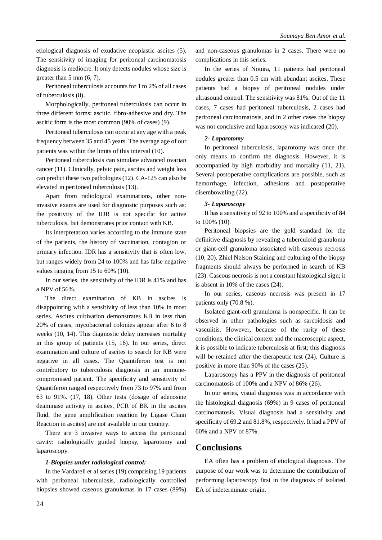etiological diagnosis of exudative neoplastic ascites (5). The sensitivity of imaging for peritoneal carcinomatosis diagnosis is mediocre. It only detects nodules whose size is greater than 5 mm (6, 7).

Peritoneal tuberculosis accounts for 1 to 2% of all cases of tuberculosis (8).

Morphologically, peritoneal tuberculosis can occur in three different forms: ascitic, fibro-adhesive and dry. The ascitic form is the most common (90% of cases) (9).

Peritoneal tuberculosis can occur at any age with a peak frequency between 35 and 45 years. The average age of our patients was within the limits of this interval (10).

Peritoneal tuberculosis can simulate advanced ovarian cancer (11). Clinically, pelvic pain, ascites and weight loss can predict these two pathologies (12). CA-125 can also be elevated in peritoneal tuberculosis (13).

Apart from radiological examinations, other noninvasive exams are used for diagnostic purposes such as: the positivity of the IDR is not specific for active tuberculosis, but demonstrates prior contact with KB.

Its interpretation varies according to the immune state of the patients, the history of vaccination, contagion or primary infection. IDR has a sensitivity that is often low, but ranges widely from 24 to 100% and has false negative values ranging from 15 to 60% (10).

In our series, the sensitivity of the IDR is 41% and has a NPV of 56%.

The direct examination of KB in ascites is disappointing with a sensitivity of less than 10% in most series. Ascites cultivation demonstrates KB in less than 20% of cases, mycobacterial colonies appear after 6 to 8 weeks (10, 14). This diagnostic delay increases mortality in this group of patients (15, 16). In our series, direct examination and culture of ascites to search for KB were negative in all cases. The Quantiferon test is not contributory to tuberculosis diagnosis in an immunecompromised patient. The specificity and sensitivity of Quantiferon ranged respectively from 73 to 97% and from 63 to 91%. (17, 18). Other tests (dosage of adenosine deaminase activity in ascites, PCR of BK in the ascites fluid, the gene amplification reaction by Ligase Chain Reaction in ascites) are not available in our country.

There are 3 invasive ways to access the peritoneal cavity: radiologically guided biopsy, laparotomy and laparoscopy.

### *1-Biopsies under radiological control:*

In the Vardareli et al series (19) comprising 19 patients with peritoneal tuberculosis, radiologically controlled biopsies showed caseous granulomas in 17 cases (89%)

and non-caseous granulomas in 2 cases. There were no complications in this series.

In the series of Nouira, 11 patients had peritoneal nodules greater than 0.5 cm with abundant ascites. These patients had a biopsy of peritoneal nodules under ultrasound control. The sensitivity was 81%. Out of the 11 cases, 7 cases had peritoneal tuberculosis, 2 cases had peritoneal carcinomatosis, and in 2 other cases the biopsy was not conclusive and laparoscopy was indicated (20).

## *2- Laparotomy*

In peritoneal tuberculosis, laparotomy was once the only means to confirm the diagnosis. However, it is accompanied by high morbidity and mortality (11, 21). Several postoperative complications are possible, such as hemorrhage, infection, adhesions and postoperative disemboweling (22).

### *3- Laparoscopy*

It has a sensitivity of 92 to 100% and a specificity of 84 to 100% (10).

Peritoneal biopsies are the gold standard for the definitive diagnosis by revealing a tuberculoid granuloma or giant-cell granuloma associated with caseous necrosis (10, 20). Zhiel Nelson Staining and culturing of the biopsy fragments should always be performed in search of KB (23). Caseous necrosis is not a constant histological sign; it is absent in 10% of the cases (24).

In our series, caseous necrosis was present in 17 patients only (70.8 %).

Isolated giant-cell granuloma is nonspecific. It can be observed in other pathologies such as sarcoidosis and vasculitis. However, because of the rarity of these conditions, the clinical context and the macroscopic aspect, it is possible to indicate tuberculosis at first; this diagnosis will be retained after the therapeutic test (24). Culture is positive in more than 90% of the cases (25).

Laparoscopy has a PPV in the diagnosis of peritoneal carcinomatosis of 100% and a NPV of 86% (26).

In our series, visual diagnosis was in accordance with the histological diagnosis (69%) in 9 cases of peritoneal carcinomatosis. Visual diagnosis had a sensitivity and specificity of 69.2 and 81.8%, respectively. It had a PPV of 60% and a NPV of 87%.

# **Conclusions**

EA often has a problem of etiological diagnosis. The purpose of our work was to determine the contribution of performing laparoscopy first in the diagnosis of isolated EA of indeterminate origin.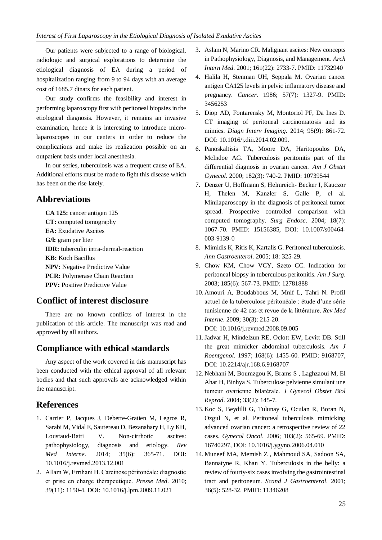Our patients were subjected to a range of biological, radiologic and surgical explorations to determine the etiological diagnosis of EA during a period of hospitalization ranging from 9 to 94 days with an average cost of 1685.7 dinars for each patient.

Our study confirms the feasibility and interest in performing laparoscopy first with peritoneal biopsies in the etiological diagnosis. However, it remains an invasive examination, hence it is interesting to introduce microlaparoscopes in our centers in order to reduce the complications and make its realization possible on an outpatient basis under local anesthesia.

In our series, tuberculosis was a frequent cause of EA. Additional efforts must be made to fight this disease which has been on the rise lately.

# **Abbreviations**

**CA 125:** cancer antigen 125 **CT:** computed tomography **EA:** Exudative Ascites **G/l:** gram per liter **IDR:** tuberculin intra-dermal-reaction **KB:** Koch Bacillus **NPV:** Negative Predictive Value **PCR:** Polymerase Chain Reaction **PPV:** Positive Predictive Value

# **Conflict of interest disclosure**

There are no known conflicts of interest in the publication of this article. The manuscript was read and approved by all authors.

# **Compliance with ethical standards**

Any aspect of the work covered in this manuscript has been conducted with the ethical approval of all relevant bodies and that such approvals are acknowledged within the manuscript.

# **References**

- 1. Carrier P, Jacques J, Debette-Gratien M, Legros R, Sarabi M, Vidal E, Sautereau D, Bezanahary H, Ly KH, Loustaud-Ratti V. Non-cirrhotic ascites: pathophysiology, diagnosis and etiology. *Rev Med Interne*. 2014; 35(6): 365-71. DOI: 10.1016/j.revmed.2013.12.001
- 2. Allam W, Errihani H. Carcinose péritonéale: diagnostic et prise en charge thérapeutique. *Presse Med*. 2010; 39(11): 1150-4. DOI: 10.1016/j.lpm.2009.11.021
- 3. Aslam N, Marino CR. Malignant ascites: New concepts in Pathophysiology, Diagnosis, and Management. *Arch Intern Med*. 2001; 161(22): 2733-7. PMID: 11732940
- 4. Halila H, Stenman UH, Seppala M. Ovarian cancer antigen CA125 levels in pelvic inflamatory disease and pregnancy. *Cancer*. 1986; 57(7): 1327-9. PMID: 3456253
- 5. Diop AD, Fontarensky M, Montoriol PF, Da Ines D. CT imaging of peritoneal carcinomatosis and its mimics. *Diagn Interv Imaging*. 2014; 95(9): 861-72. DOI: 10.1016/j.diii.2014.02.009.
- 6. Panoskaltisis TA, Moore DA, Haritopoulos DA, McIndoe AG. Tuberculosis peritonitis part of the differential diagnosis in ovarian cancer. *Am J Obstet Gynecol*. 2000; 182(3): 740-2. PMID: 10739544
- 7. Denzer U, Hoffmann S, Helmreich- Becker I, Kauczor H, Thelen M, Kanzler S, Galle P, el al. Minilaparoscopy in the diagnosis of peritoneal tumor spread. Prospective controlled comparison with computed tomography. *Surg Endosc*. 2004; 18(7): 1067-70. PMID: 15156385, DOI: 10.1007/s00464- 003-9139-0
- 8. Mimidis K, Ritis K, Kartalis G. Peritoneal tuberculosis. *Ann Gastroenterol*. 2005; 18: 325-29.
- 9. Chow KM, Chow VCY, Szeto CC. Indication for peritoneal biopsy in tuberculous peritonitis. *Am J Surg*. 2003; 185(6): 567-73. PMID: 12781888
- 10. Amouri A, Boudabbous M, Mnif L, Tahri N. Profil actuel de la tuberculose péritonéale : étude d'une série tunisienne de 42 cas et revue de la littérature. *Rev Med Interne*. 2009; 30(3): 215-20. DOI: 10.1016/j.revmed.2008.09.005
- 11.Jadvar H, Mindelzun RE, Oclott EW, Levitt DB. Still the great mimicker abdominal tuberculosis. *Am J Roentgenol*. 1997; 168(6): 1455-60. PMID: 9168707, DOI: 10.2214/ajr.168.6.9168707
- 12. Nebhani M, Boumzgou K, Brams S , Laghzaoui M, El Ahar H, Binhya S. Tuberculose pelvienne simulant une tumeur ovarienne bilatérale. *J Gynecol Obstet Biol Reprod*. 2004; 33(2): 145-7.
- 13. Koc S, Beydilli G, Tulunay G, Oculan R, Boran N, Ozgul N, et al. Peritoneal tuberculosis mimicking advanced ovarian cancer: a retrospective review of 22 cases. *Gynecol Oncol*. 2006; 103(2): 565-69. PMID: 16740297, DOI: 10.1016/j.ygyno.2006.04.010
- 14. Muneef MA, Memish Z , Mahmoud SA, Sadoon SA, Bannatyne R, Khan Y. Tuberculosis in the belly: a review of fourty-six cases involving the gastrointestinal tract and peritoneum. *Scand J Gastroenterol*. 2001; 36(5): 528-32. PMID: 11346208